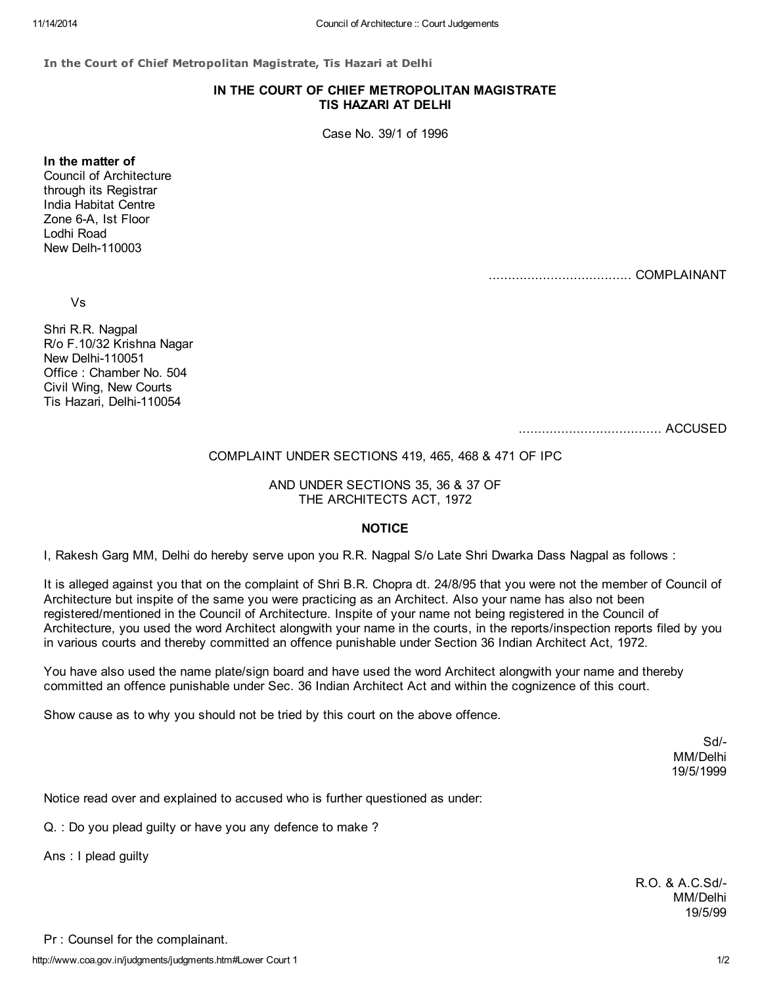In the Court of Chief Metropolitan Magistrate, Tis Hazari at Delhi

## IN THE COURT OF CHIEF METROPOLITAN MAGISTRATE TIS HAZARI AT DELHI

Case No. 39/1 of 1996

In the matter of Council of Architecture through its Registrar India Habitat Centre Zone 6-A, Ist Floor Lodhi Road New Delh-110003

..................................... COMPLAINANT

Vs

Shri R.R. Nagpal R/o F.10/32 Krishna Nagar New Delhi-110051 Office : Chamber No. 504 Civil Wing, New Courts Tis Hazari, Delhi-110054

..................................... ACCUSED

## COMPLAINT UNDER SECTIONS 419, 465, 468 & 471 OF IPC

AND UNDER SECTIONS 35, 36 & 37 OF THE ARCHITECTS ACT, 1972

## **NOTICE**

I, Rakesh Garg MM, Delhi do hereby serve upon you R.R. Nagpal S/o Late Shri Dwarka Dass Nagpal as follows :

It is alleged against you that on the complaint of Shri B.R. Chopra dt. 24/8/95 that you were not the member of Council of Architecture but inspite of the same you were practicing as an Architect. Also your name has also not been registered/mentioned in the Council of Architecture. Inspite of your name not being registered in the Council of Architecture, you used the word Architect alongwith your name in the courts, in the reports/inspection reports filed by you in various courts and thereby committed an offence punishable under Section 36 Indian Architect Act, 1972.

You have also used the name plate/sign board and have used the word Architect alongwith your name and thereby committed an offence punishable under Sec. 36 Indian Architect Act and within the cognizence of this court.

Show cause as to why you should not be tried by this court on the above offence.

Sd/- MM/Delhi 19/5/1999

Notice read over and explained to accused who is further questioned as under:

Q. : Do you plead guilty or have you any defence to make ?

Ans : I plead guilty

R.O. & A.C.Sd/- MM/Delhi 19/5/99